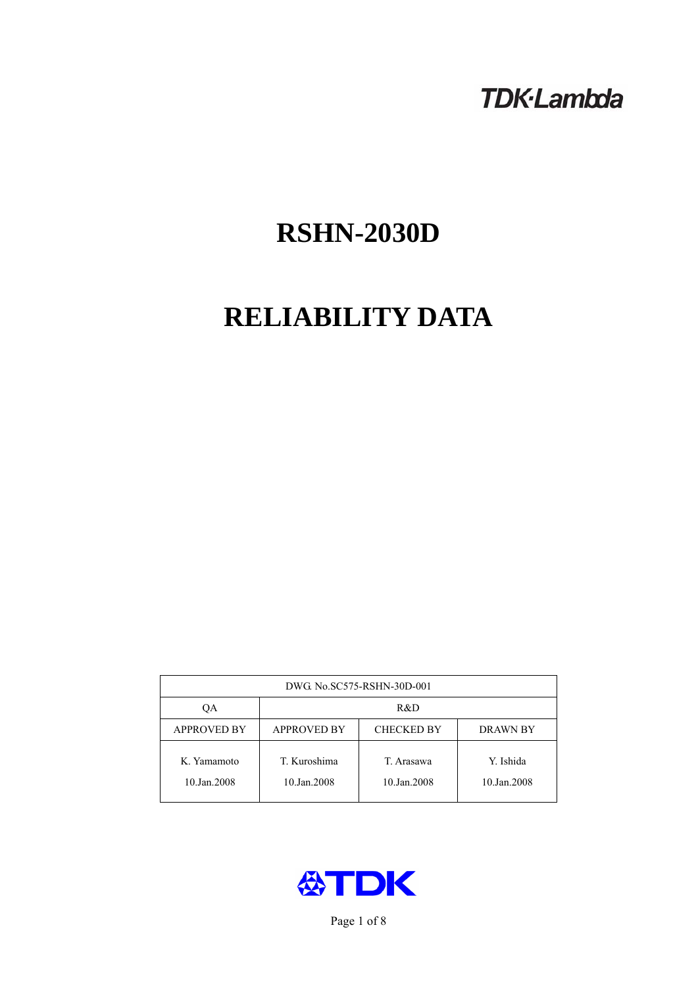# **TDK-Lambda**

# **RSHN-2030D**

# **RELIABILITY DATA**

| DWG. No.SC575-RSHN-30D-001 |                                                            |                           |                          |  |  |
|----------------------------|------------------------------------------------------------|---------------------------|--------------------------|--|--|
| ОA                         | R&D                                                        |                           |                          |  |  |
| <b>APPROVED BY</b>         | <b>APPROVED BY</b><br><b>CHECKED BY</b><br><b>DRAWN BY</b> |                           |                          |  |  |
| K. Yamamoto<br>10.Jan.2008 | T. Kuroshima<br>10.Jan.2008                                | T. Arasawa<br>10.Jan.2008 | Y. Ishida<br>10.Jan.2008 |  |  |



Page 1 of 8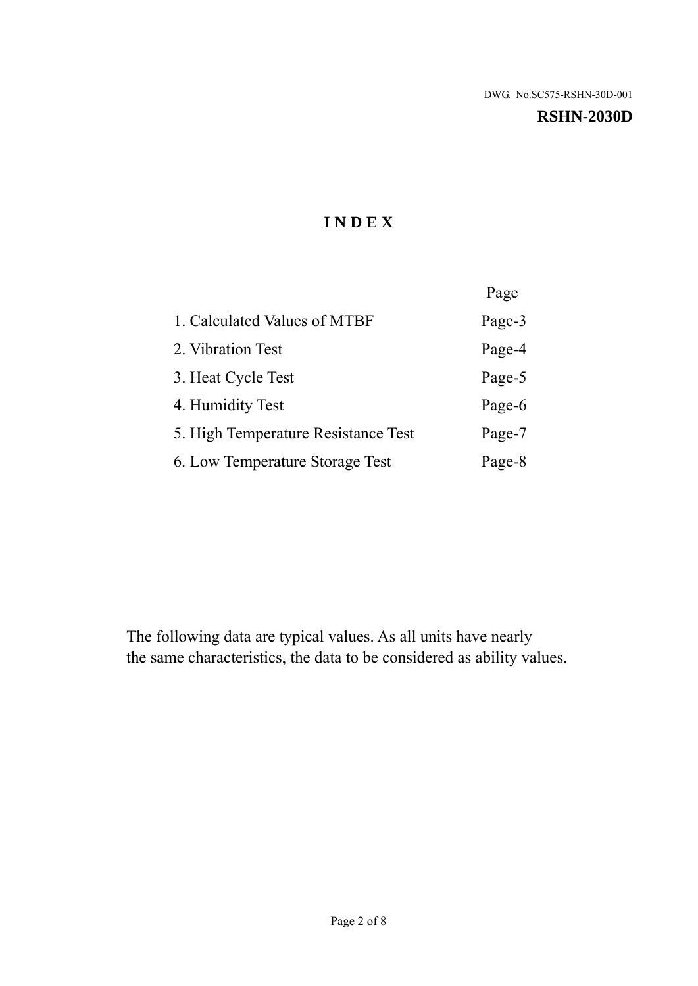#### **RSHN-2030D**

# **I N D E X**

|                                     | Page   |
|-------------------------------------|--------|
| 1. Calculated Values of MTBF        | Page-3 |
| 2. Vibration Test                   | Page-4 |
| 3. Heat Cycle Test                  | Page-5 |
| 4. Humidity Test                    | Page-6 |
| 5. High Temperature Resistance Test | Page-7 |
| 6. Low Temperature Storage Test     | Page-8 |

The following data are typical values. As all units have nearly the same characteristics, the data to be considered as ability values.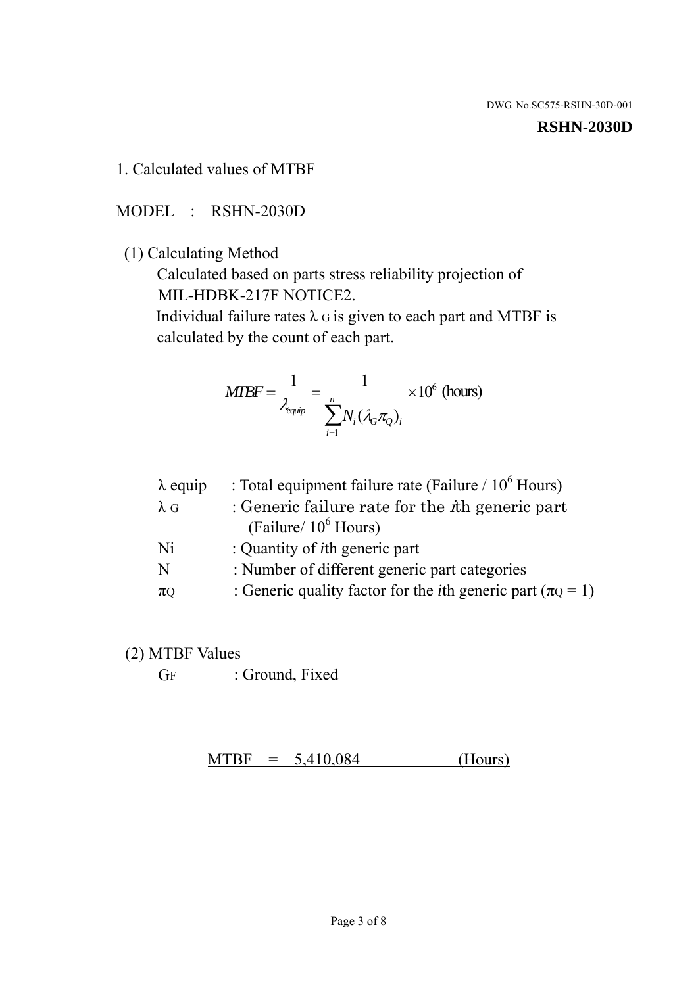#### **RSHN-2030D**

1. Calculated values of MTBF

MODEL : RSHN-2030D

(1) Calculating Method

 Calculated based on parts stress reliability projection of MIL-HDBK-217F NOTICE2.

Individual failure rates  $\lambda$  G is given to each part and MTBF is calculated by the count of each part.

$$
MTBF = \frac{1}{\lambda_{\text{equip}}} = \frac{1}{\sum_{i=1}^{n} N_i (\lambda_G \pi_Q)_i} \times 10^6 \text{ (hours)}
$$

| : Total equipment failure rate (Failure / $10^6$ Hours)                   |
|---------------------------------------------------------------------------|
| : Generic failure rate for the $\hbar$ generic part                       |
| (Failure/ $10^6$ Hours)                                                   |
| : Quantity of <i>i</i> th generic part                                    |
| : Number of different generic part categories                             |
| : Generic quality factor for the <i>i</i> th generic part ( $\pi Q = 1$ ) |
|                                                                           |

- (2) MTBF Values
	- GF : Ground, Fixed

 $MTBF = 5,410,084$  (Hours)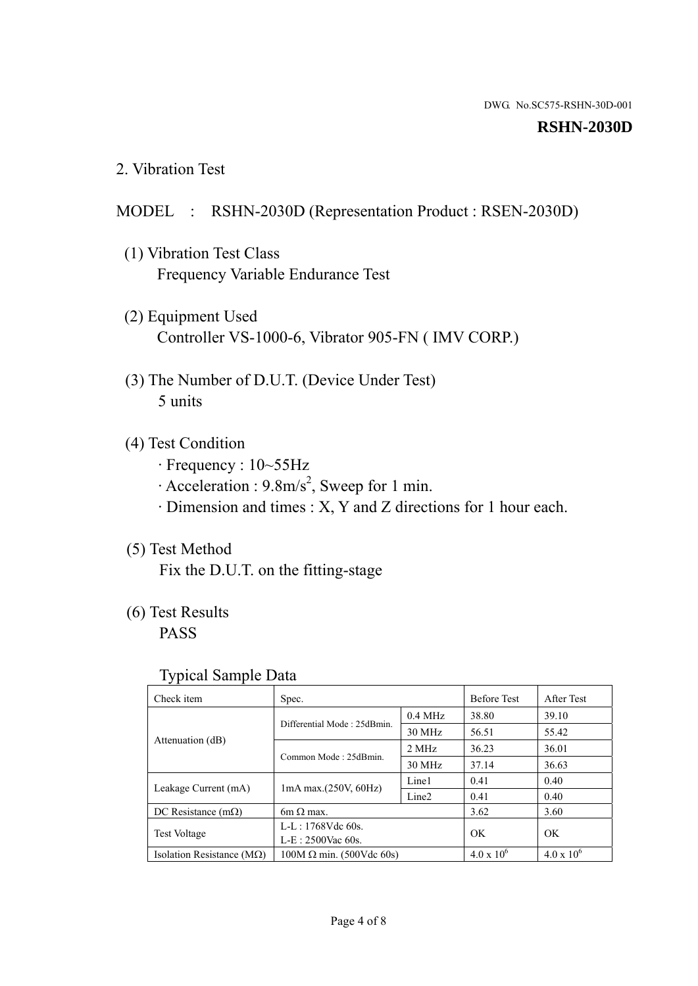#### **RSHN-2030D**

2. Vibration Test

# MODEL : RSHN-2030D (Representation Product : RSEN-2030D)

- (1) Vibration Test Class Frequency Variable Endurance Test
- (2) Equipment Used Controller VS-1000-6, Vibrator 905-FN ( IMV CORP.)
- (3) The Number of D.U.T. (Device Under Test) 5 units
- (4) Test Condition
	- · Frequency : 10~55Hz
	- $\cdot$  Acceleration : 9.8m/s<sup>2</sup>, Sweep for 1 min.
	- · Dimension and times : X, Y and Z directions for 1 hour each.

# (5) Test Method

Fix the D.U.T. on the fitting-stage

# (6) Test Results

PASS

#### Typical Sample Data

| . .                           |                                 |                   |                     |                     |
|-------------------------------|---------------------------------|-------------------|---------------------|---------------------|
| Check item                    | Spec.                           |                   | <b>Before Test</b>  | After Test          |
|                               | Differential Mode: 25dBmin.     | $0.4$ MHz         | 38.80               | 39.10               |
|                               |                                 | 30 MHz            | 56.51               | 55.42               |
| Attenuation (dB)              | Common Mode: 25dBmin.           | 2 MHz             | 36.23               | 36.01               |
|                               |                                 | 30 MHz            | 37.14               | 36.63               |
| Leakage Current (mA)          | $1mA$ max. $(250V, 60Hz)$       | Line1             | 0.41                | 0.40                |
|                               |                                 | Line <sub>2</sub> | 0.41                | 0.40                |
| DC Resistance $(m\Omega)$     | 6m $\Omega$ max.                |                   | 3.62                | 3.60                |
| <b>Test Voltage</b>           | $L-L: 1768Vdc$ 60s.             |                   | OK                  | OK.                 |
|                               | $L-E$ : 2500Vac 60s.            |                   |                     |                     |
| Isolation Resistance ( $MQ$ ) | $100M \Omega$ min. (500Vdc 60s) |                   | $4.0 \times 10^{6}$ | $4.0 \times 10^{6}$ |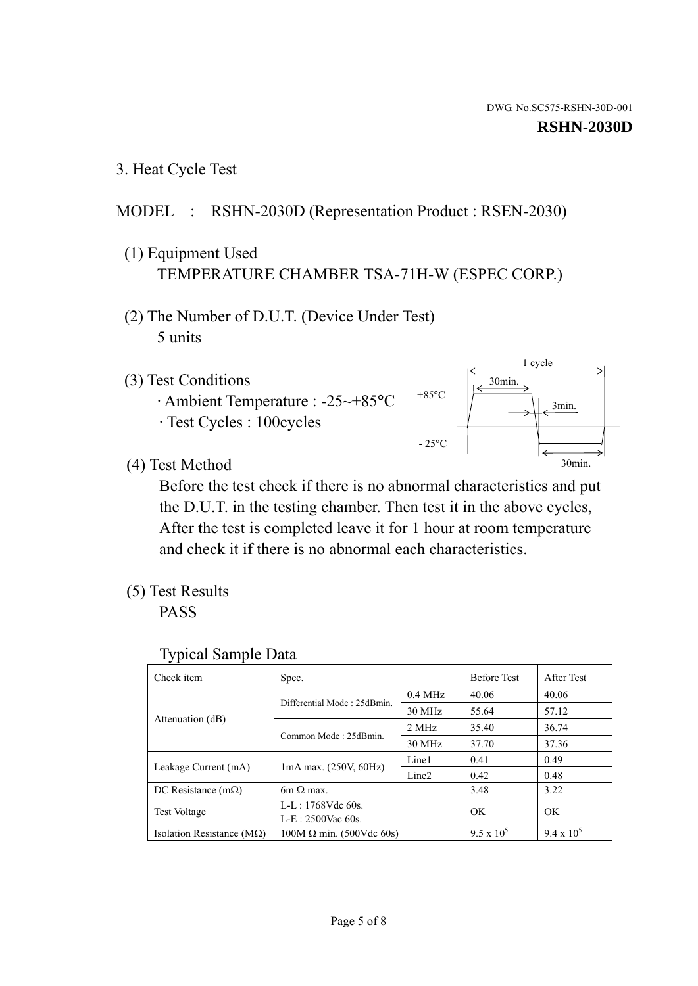3. Heat Cycle Test

## MODEL : RSHN-2030D (Representation Product : RSEN-2030)

- (1) Equipment Used TEMPERATURE CHAMBER TSA-71H-W (ESPEC CORP.)
- (2) The Number of D.U.T. (Device Under Test) 5 units
- (3) Test Conditions
	- · Ambient Temperature : -25~+85°C · Test Cycles : 100cycles



(4) Test Method

 Before the test check if there is no abnormal characteristics and put the D.U.T. in the testing chamber. Then test it in the above cycles, After the test is completed leave it for 1 hour at room temperature and check it if there is no abnormal each characteristics.

(5) Test Results

PASS

| <b>Typical Sample Data</b> |  |  |
|----------------------------|--|--|
|----------------------------|--|--|

| Check item                    | Spec.                           |                   | <b>Before Test</b> | After Test        |
|-------------------------------|---------------------------------|-------------------|--------------------|-------------------|
|                               |                                 | $0.4$ MHz         | 40.06              | 40.06             |
|                               | Differential Mode: 25dBmin.     | 30 MHz            | 55.64              | 57.12             |
| Attenuation (dB)              | Common Mode: 25dBmin.           | 2 MHz             | 35.40              | 36.74             |
|                               |                                 | 30 MHz            | 37.70              | 37.36             |
| Leakage Current (mA)          | $1mA$ max. $(250V, 60Hz)$       | Line1             | 0.41               | 0.49              |
|                               |                                 | Line <sub>2</sub> | 0.42               | 0.48              |
| DC Resistance $(m\Omega)$     | $6m \Omega$ max.                |                   | 3.48               | 3.22              |
| <b>Test Voltage</b>           | L-L: $1768V$ de $60s$ .         |                   | OK                 | OK                |
|                               | $L-E: 2500$ Vac 60s.            |                   |                    |                   |
| Isolation Resistance ( $MQ$ ) | $100M \Omega$ min. (500Vdc 60s) |                   | $9.5 \times 10^5$  | $9.4 \times 10^5$ |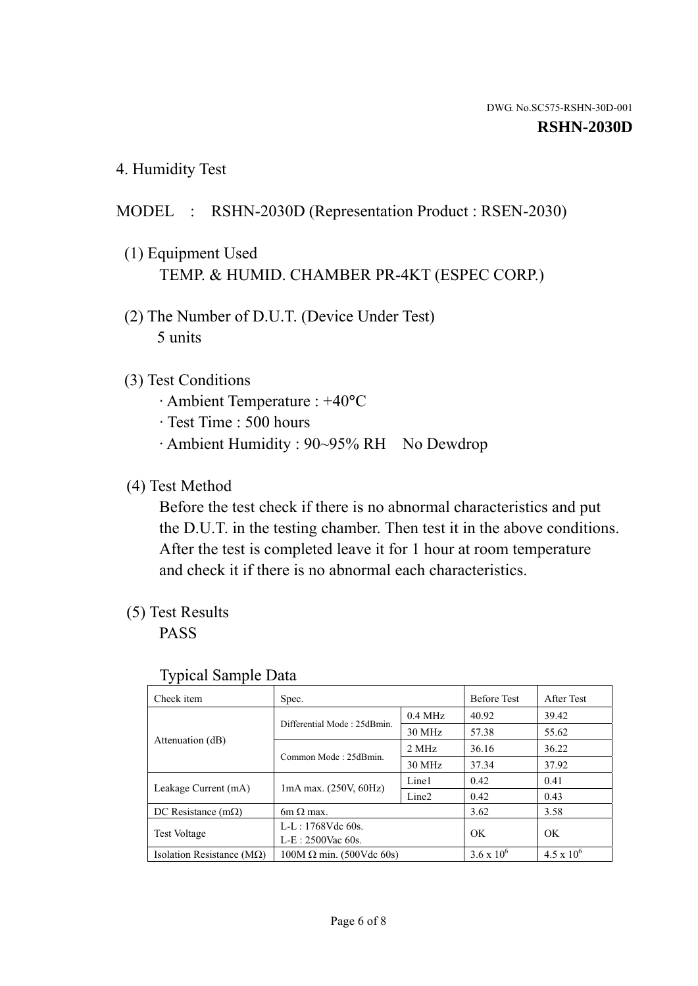4. Humidity Test

# MODEL : RSHN-2030D (Representation Product : RSEN-2030)

- (1) Equipment Used TEMP. & HUMID. CHAMBER PR-4KT (ESPEC CORP.)
- (2) The Number of D.U.T. (Device Under Test) 5 units

## (3) Test Conditions

- · Ambient Temperature : +40°C
- · Test Time : 500 hours
- · Ambient Humidity : 90~95% RH No Dewdrop

# (4) Test Method

 Before the test check if there is no abnormal characteristics and put the D.U.T. in the testing chamber. Then test it in the above conditions. After the test is completed leave it for 1 hour at room temperature and check it if there is no abnormal each characteristics.

## (5) Test Results

PASS

| ┙┸                                 |                                 |                   |                     |                     |
|------------------------------------|---------------------------------|-------------------|---------------------|---------------------|
| Check item                         | Spec.                           |                   | <b>Before Test</b>  | After Test          |
|                                    |                                 | $0.4$ MHz         | 40.92               | 39.42               |
|                                    | Differential Mode: 25dBmin.     | 30 MHz            | 57.38               | 55.62               |
| Attenuation (dB)                   | Common Mode: 25dBmin.           | 2 MHz             | 36.16               | 36.22               |
|                                    |                                 | 30 MHz            | 37.34               | 37.92               |
| Leakage Current (mA)               | $1mA$ max. $(250V, 60Hz)$       | Line1             | 0.42                | 0.41                |
|                                    |                                 | Line <sub>2</sub> | 0.42                | 0.43                |
| DC Resistance $(m\Omega)$          | 6m $\Omega$ max.                |                   | 3.62                | 3.58                |
| <b>Test Voltage</b>                | $L-L: 1768Vdc$ 60s.             |                   | OK                  | OK                  |
|                                    | $L-E: 2500$ Vac 60s.            |                   |                     |                     |
| Isolation Resistance ( $M\Omega$ ) | $100M \Omega$ min. (500Vdc 60s) |                   | $3.6 \times 10^{6}$ | $4.5 \times 10^{6}$ |

#### Typical Sample Data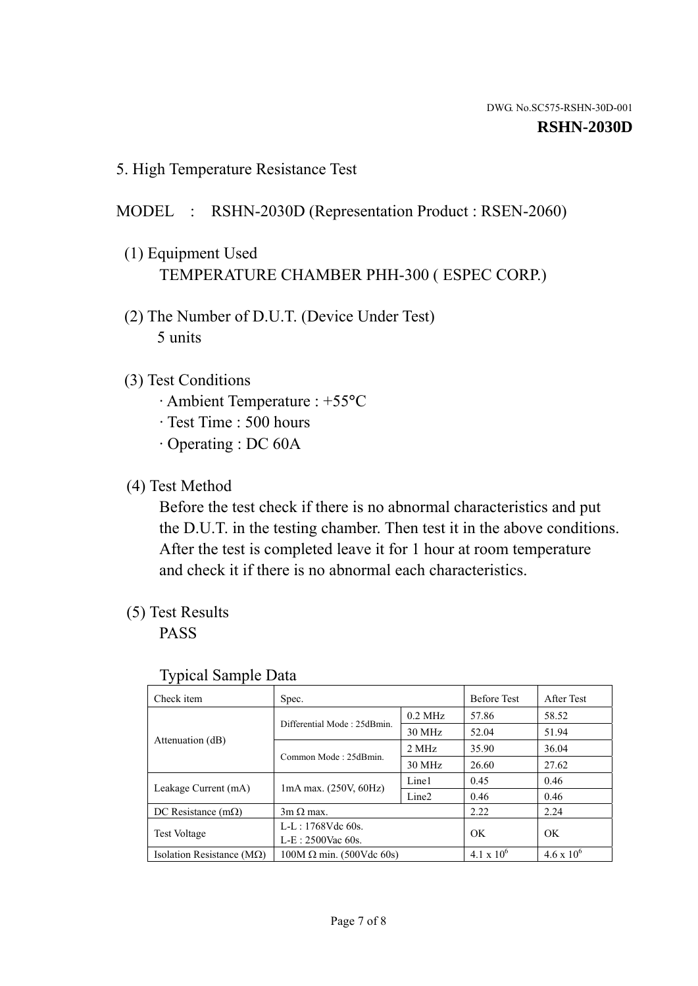5. High Temperature Resistance Test

# MODEL : RSHN-2030D (Representation Product : RSEN-2060)

- (1) Equipment Used TEMPERATURE CHAMBER PHH-300 ( ESPEC CORP.)
- (2) The Number of D.U.T. (Device Under Test) 5 units
- (3) Test Conditions
	- · Ambient Temperature : +55°C
	- · Test Time : 500 hours
	- · Operating : DC 60A
- (4) Test Method

 Before the test check if there is no abnormal characteristics and put the D.U.T. in the testing chamber. Then test it in the above conditions. After the test is completed leave it for 1 hour at room temperature and check it if there is no abnormal each characteristics.

(5) Test Results

PASS

| J 1                                                                |                                 |                   |                     |                     |
|--------------------------------------------------------------------|---------------------------------|-------------------|---------------------|---------------------|
| Check item                                                         | Spec.                           |                   | <b>Before Test</b>  | After Test          |
|                                                                    | Differential Mode: 25dBmin.     | $0.2$ MHz         | 57.86               | 58.52               |
|                                                                    |                                 | 30 MHz            | 52.04               | 51.94               |
| Attenuation (dB)                                                   | Common Mode: 25dBmin.           | 2 MHz             | 35.90               | 36.04               |
|                                                                    |                                 | 30 MHz            | 26.60               | 27.62               |
| Leakage Current (mA)                                               | $1mA$ max. $(250V, 60Hz)$       | Line1             | 0.45                | 0.46                |
|                                                                    |                                 | Line <sub>2</sub> | 0.46                | 0.46                |
| DC Resistance $(m\Omega)$                                          | $3m \Omega$ max.                |                   | 2.22                | 2.24                |
| $L-L: 1768Vdc$ 60s.<br><b>Test Voltage</b><br>$L-E: 2500$ Vac 60s. |                                 |                   | OK                  | OK                  |
|                                                                    |                                 |                   |                     |                     |
| Isolation Resistance ( $M\Omega$ )                                 | $100M \Omega$ min. (500Vdc 60s) |                   | $4.1 \times 10^{6}$ | $4.6 \times 10^{6}$ |

#### Typical Sample Data